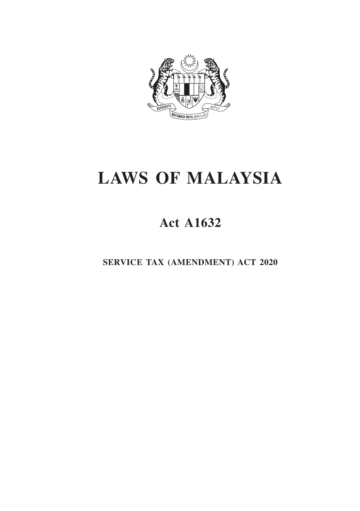

# **LAWS OF MALAYSIA**

# **Act A1632**

**SERVICE TAX (AMENDMENT) ACT 2020**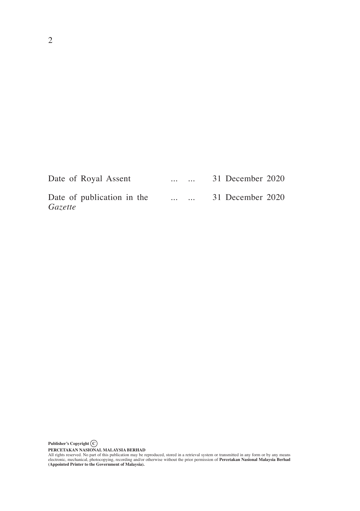| Date of Royal Assent                  | $\cdots$ |  | 31 December 2020 |  |
|---------------------------------------|----------|--|------------------|--|
| Date of publication in the<br>Gazette | $\cdots$ |  | 31 December 2020 |  |

**PERCETAKAN NASIONAL MALAYSIA BERHAD**<br>All rights reserved. No part of this publication may be reproduced, stored in a retrieval system or transmitted in any form or by any means<br>electronic, mechanical, photocopying, record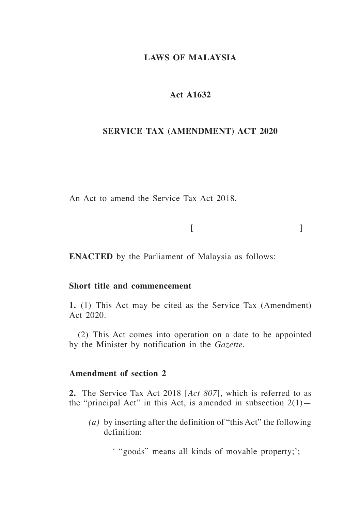# **LAWS OF MALAYSIA**

# **Act A1632**

# **SERVICE TAX (AMENDMENT) ACT 2020**

An Act to amend the Service Tax Act 2018.

 $[$ 

**ENACTED** by the Parliament of Malaysia as follows:

# **Short title and commencement**

**1.** (1) This Act may be cited as the Service Tax (Amendment) Act 2020.

(2) This Act comes into operation on a date to be appointed by the Minister by notification in the *Gazette*.

# **Amendment of section 2**

**2.** The Service Tax Act 2018 [*Act 807*], which is referred to as the "principal Act" in this Act, is amended in subsection  $2(1)$ —

*(a)* by inserting after the definition of "this Act" the following definition:

' "goods" means all kinds of movable property;';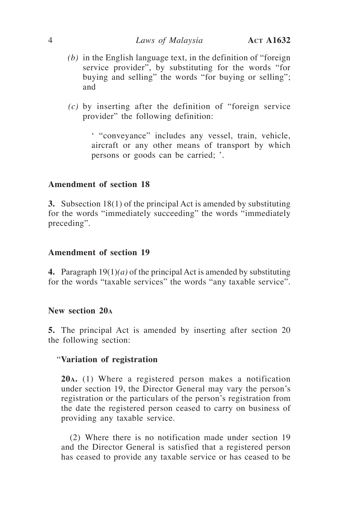- *(b)* in the English language text, in the definition of "foreign service provider", by substituting for the words "for buying and selling" the words "for buying or selling"; and
- *(c)* by inserting after the definition of "foreign service provider" the following definition:

' "conveyance" includes any vessel, train, vehicle, aircraft or any other means of transport by which persons or goods can be carried; '.

# **Amendment of section 18**

**3.** Subsection 18(1) of the principal Act is amended by substituting for the words "immediately succeeding" the words "immediately preceding".

#### **Amendment of section 19**

**4.** Paragraph 19(1)*(a)* of the principal Act is amended by substituting for the words "taxable services" the words "any taxable service".

#### **New section 20a**

**5.** The principal Act is amended by inserting after section 20 the following section:

#### "**Variation of registration**

**20a.** (1) Where a registered person makes a notification under section 19, the Director General may vary the person's registration or the particulars of the person's registration from the date the registered person ceased to carry on business of providing any taxable service.

(2) Where there is no notification made under section 19 and the Director General is satisfied that a registered person has ceased to provide any taxable service or has ceased to be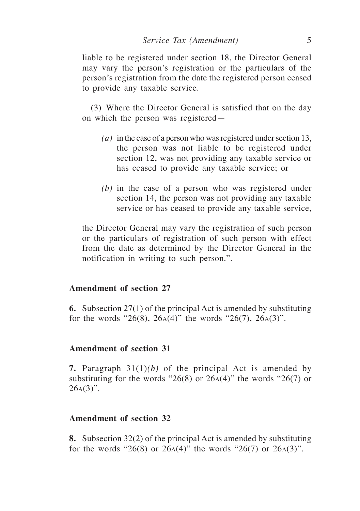liable to be registered under section 18, the Director General may vary the person's registration or the particulars of the person's registration from the date the registered person ceased to provide any taxable service.

(3) Where the Director General is satisfied that on the day on which the person was registered—

- *(a)* in the case of a person who was registered under section 13, the person was not liable to be registered under section 12, was not providing any taxable service or has ceased to provide any taxable service; or
- *(b)* in the case of a person who was registered under section 14, the person was not providing any taxable service or has ceased to provide any taxable service,

the Director General may vary the registration of such person or the particulars of registration of such person with effect from the date as determined by the Director General in the notification in writing to such person.".

# **Amendment of section 27**

**6.** Subsection 27(1) of the principal Act is amended by substituting for the words "26(8), 26 $A(4)$ " the words "26(7), 26 $A(3)$ ".

# **Amendment of section 31**

**7.** Paragraph 31(1)*(b)* of the principal Act is amended by substituting for the words "26(8) or  $26A(4)$ " the words "26(7) or  $26A(3)$ ".

# **Amendment of section 32**

**8.** Subsection 32(2) of the principal Act is amended by substituting for the words "26(8) or 26 $A(4)$ " the words "26(7) or 26 $A(3)$ ".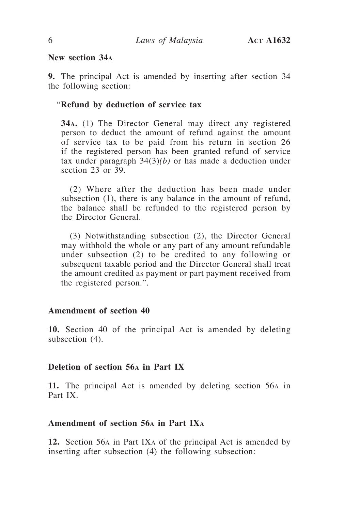# **New section 34a**

**9.** The principal Act is amended by inserting after section 34 the following section:

#### "**Refund by deduction of service tax**

**34a.** (1) The Director General may direct any registered person to deduct the amount of refund against the amount of service tax to be paid from his return in section 26 if the registered person has been granted refund of service tax under paragraph 34(3)*(b)* or has made a deduction under section 23 or 39.

(2) Where after the deduction has been made under subsection (1), there is any balance in the amount of refund, the balance shall be refunded to the registered person by the Director General.

(3) Notwithstanding subsection (2), the Director General may withhold the whole or any part of any amount refundable under subsection (2) to be credited to any following or subsequent taxable period and the Director General shall treat the amount credited as payment or part payment received from the registered person.".

#### **Amendment of section 40**

**10.** Section 40 of the principal Act is amended by deleting subsection (4).

# **Deletion of section 56a in Part IX**

**11.** The principal Act is amended by deleting section 56a in Part IX.

# **Amendment of section 56a in Part IXa**

**12.** Section 56a in Part IXa of the principal Act is amended by inserting after subsection (4) the following subsection: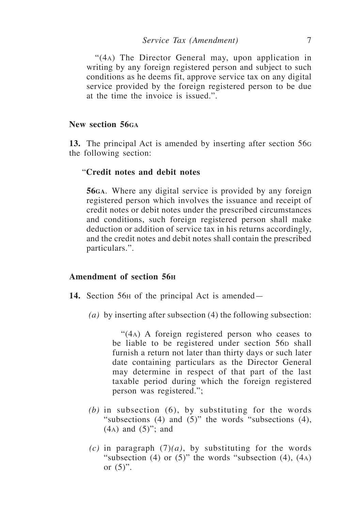"(4a) The Director General may, upon application in writing by any foreign registered person and subject to such conditions as he deems fit, approve service tax on any digital service provided by the foreign registered person to be due at the time the invoice is issued.".

# **New section 56ga**

**13.** The principal Act is amended by inserting after section 56<sup>g</sup> the following section:

#### "**Credit notes and debit notes**

**56ga**. Where any digital service is provided by any foreign registered person which involves the issuance and receipt of credit notes or debit notes under the prescribed circumstances and conditions, such foreign registered person shall make deduction or addition of service tax in his returns accordingly, and the credit notes and debit notes shall contain the prescribed particulars.".

# **Amendment of section 56h**

- **14.** Section 56h of the principal Act is amended—
	- *(a)* by inserting after subsection (4) the following subsection:

 "(4a) A foreign registered person who ceases to be liable to be registered under section 56<sub>p</sub> shall furnish a return not later than thirty days or such later date containing particulars as the Director General may determine in respect of that part of the last taxable period during which the foreign registered person was registered.";

- *(b)* in subsection (6), by substituting for the words "subsections  $(4)$  and  $(5)$ " the words "subsections  $(4)$ , (4a) and (5)"; and
- $(c)$  in paragraph  $(7)(a)$ , by substituting for the words "subsection (4) or  $(5)$ " the words "subsection (4),  $(4)$ or  $(5)$ ".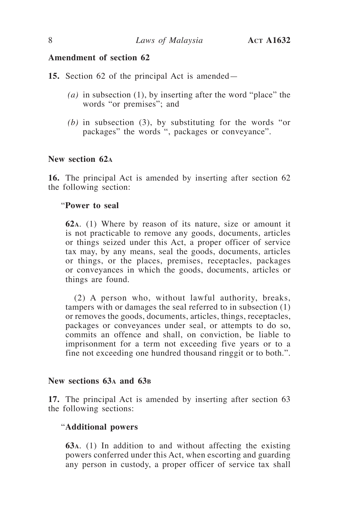# **Amendment of section 62**

**15.** Section 62 of the principal Act is amended—

- *(a)* in subsection (1), by inserting after the word "place" the words "or premises"; and
- *(b)* in subsection (3), by substituting for the words "or packages" the words ", packages or conveyance".

# **New section 62a**

**16.** The principal Act is amended by inserting after section 62 the following section:

# "**Power to seal**

**62a**. (1) Where by reason of its nature, size or amount it is not practicable to remove any goods, documents, articles or things seized under this Act, a proper officer of service tax may, by any means, seal the goods, documents, articles or things, or the places, premises, receptacles, packages or conveyances in which the goods, documents, articles or things are found.

(2) A person who, without lawful authority, breaks, tampers with or damages the seal referred to in subsection (1) or removes the goods, documents, articles, things, receptacles, packages or conveyances under seal, or attempts to do so, commits an offence and shall, on conviction, be liable to imprisonment for a term not exceeding five years or to a fine not exceeding one hundred thousand ringgit or to both.".

# **New sections 63a and 63b**

**17.** The principal Act is amended by inserting after section 63 the following sections:

#### "**Additional powers**

**63a**. (1) In addition to and without affecting the existing powers conferred under this Act, when escorting and guarding any person in custody, a proper officer of service tax shall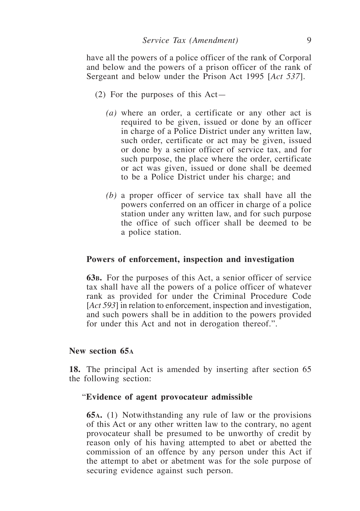have all the powers of a police officer of the rank of Corporal and below and the powers of a prison officer of the rank of Sergeant and below under the Prison Act 1995 [*Act 537*].

- (2) For the purposes of this Act—
	- *(a)* where an order, a certificate or any other act is required to be given, issued or done by an officer in charge of a Police District under any written law, such order, certificate or act may be given, issued or done by a senior officer of service tax, and for such purpose, the place where the order, certificate or act was given, issued or done shall be deemed to be a Police District under his charge; and
	- *(b)* a proper officer of service tax shall have all the powers conferred on an officer in charge of a police station under any written law, and for such purpose the office of such officer shall be deemed to be a police station.

#### **Powers of enforcement, inspection and investigation**

**63b.** For the purposes of this Act, a senior officer of service tax shall have all the powers of a police officer of whatever rank as provided for under the Criminal Procedure Code [*Act 593*] in relation to enforcement, inspection and investigation, and such powers shall be in addition to the powers provided for under this Act and not in derogation thereof.".

#### **New section 65a**

**18.** The principal Act is amended by inserting after section 65 the following section:

#### "**Evidence of agent provocateur admissible**

**65a.** (1) Notwithstanding any rule of law or the provisions of this Act or any other written law to the contrary, no agent provocateur shall be presumed to be unworthy of credit by reason only of his having attempted to abet or abetted the commission of an offence by any person under this Act if the attempt to abet or abetment was for the sole purpose of securing evidence against such person.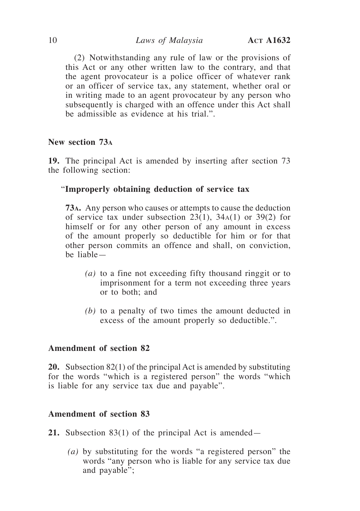(2) Notwithstanding any rule of law or the provisions of this Act or any other written law to the contrary, and that the agent provocateur is a police officer of whatever rank or an officer of service tax, any statement, whether oral or in writing made to an agent provocateur by any person who subsequently is charged with an offence under this Act shall be admissible as evidence at his trial.".

# **New section 73a**

**19.** The principal Act is amended by inserting after section 73 the following section:

# "**Improperly obtaining deduction of service tax**

**73a.** Any person who causes or attempts to cause the deduction of service tax under subsection  $23(1)$ ,  $34A(1)$  or  $39(2)$  for himself or for any other person of any amount in excess of the amount properly so deductible for him or for that other person commits an offence and shall, on conviction, be liable—

- *(a)* to a fine not exceeding fifty thousand ringgit or to imprisonment for a term not exceeding three years or to both; and
- *(b)* to a penalty of two times the amount deducted in excess of the amount properly so deductible.".

# **Amendment of section 82**

**20.** Subsection 82(1) of the principal Act is amended by substituting for the words "which is a registered person" the words "which is liable for any service tax due and payable".

# **Amendment of section 83**

**21.** Subsection 83(1) of the principal Act is amended—

*(a)* by substituting for the words "a registered person" the words "any person who is liable for any service tax due and payable";